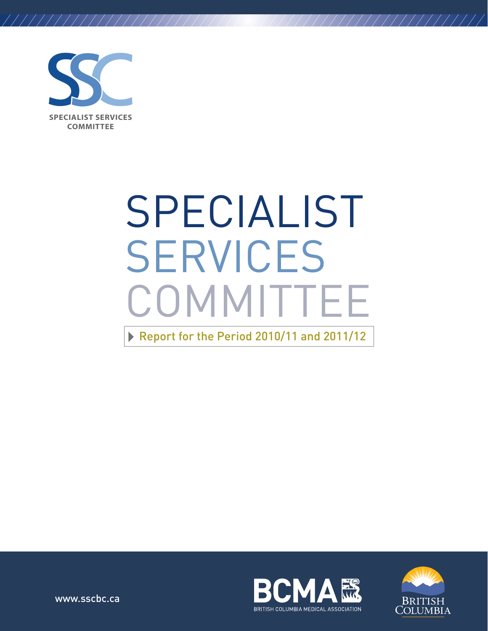

/////////////////////

# SPECIALIST SERVICES **COMMITTEE** Report for the Period 2010/11 and 2011/12



///////////////////



www.sscbc.ca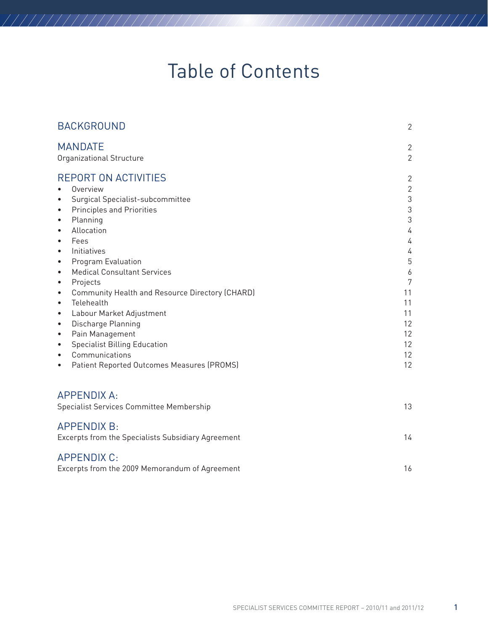# Table of Contents

///////////////////

| <b>BACKGROUND</b>                                                                                                                                                                                                                                                                                                                                                                                                                                                                                                                                                                                                                                                                                                  | $\overline{2}$                                                                                                                                            |
|--------------------------------------------------------------------------------------------------------------------------------------------------------------------------------------------------------------------------------------------------------------------------------------------------------------------------------------------------------------------------------------------------------------------------------------------------------------------------------------------------------------------------------------------------------------------------------------------------------------------------------------------------------------------------------------------------------------------|-----------------------------------------------------------------------------------------------------------------------------------------------------------|
| <b>MANDATE</b><br>Organizational Structure                                                                                                                                                                                                                                                                                                                                                                                                                                                                                                                                                                                                                                                                         | $\mathbf{2}$<br>$\overline{2}$                                                                                                                            |
| <b>REPORT ON ACTIVITIES</b><br>Overview<br>Surgical Specialist-subcommittee<br>$\bullet$<br><b>Principles and Priorities</b><br>$\bullet$<br>Planning<br>$\bullet$<br>Allocation<br>$\bullet$<br>Fees<br>$\bullet$<br>Initiatives<br>$\bullet$<br>Program Evaluation<br>$\bullet$<br><b>Medical Consultant Services</b><br>$\bullet$<br>Projects<br>$\bullet$<br>Community Health and Resource Directory (CHARD)<br>$\bullet$<br>Telehealth<br>$\bullet$<br>Labour Market Adjustment<br>$\bullet$<br>Discharge Planning<br>$\bullet$<br>Pain Management<br>$\bullet$<br><b>Specialist Billing Education</b><br>$\bullet$<br>Communications<br>$\bullet$<br>Patient Reported Outcomes Measures (PROMS)<br>$\bullet$ | $\overline{2}$<br>$\mathbf{2}$<br>$\mathfrak 3$<br>$\sqrt{3}$<br>$\sqrt{3}$<br>4<br>4<br>4<br>5<br>6<br>7<br>11<br>11<br>11<br>12<br>12<br>12<br>12<br>12 |
| <b>APPENDIX A:</b><br>Specialist Services Committee Membership                                                                                                                                                                                                                                                                                                                                                                                                                                                                                                                                                                                                                                                     | 13                                                                                                                                                        |
| <b>APPENDIX B:</b><br>Excerpts from the Specialists Subsidiary Agreement                                                                                                                                                                                                                                                                                                                                                                                                                                                                                                                                                                                                                                           | 14                                                                                                                                                        |
| <b>APPENDIX C:</b><br>Excerpts from the 2009 Memorandum of Agreement                                                                                                                                                                                                                                                                                                                                                                                                                                                                                                                                                                                                                                               | 16                                                                                                                                                        |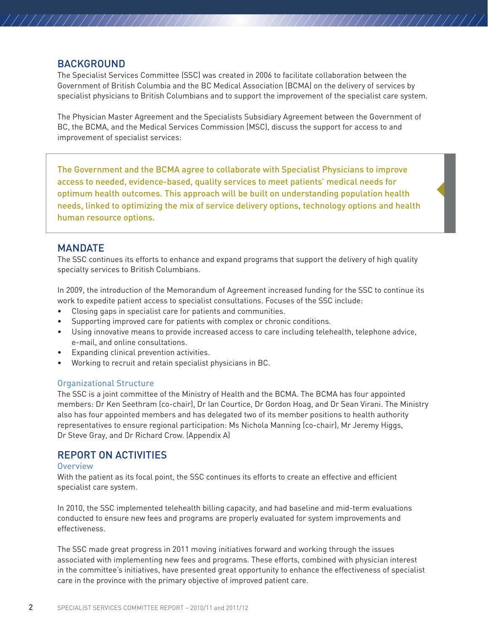#### BACKGROUND

/////////////////////

The Specialist Services Committee (SSC) was created in 2006 to facilitate collaboration between the Government of British Columbia and the BC Medical Association (BCMA) on the delivery of services by specialist physicians to British Columbians and to support the improvement of the specialist care system.

///////////////////

The Physician Master Agreement and the Specialists Subsidiary Agreement between the Government of BC, the BCMA, and the Medical Services Commission (MSC), discuss the support for access to and improvement of specialist services:

The Government and the BCMA agree to collaborate with Specialist Physicians to improve access to needed, evidence-based, quality services to meet patients' medical needs for optimum health outcomes. This approach will be built on understanding population health needs, linked to optimizing the mix of service delivery options, technology options and health human resource options.

#### **MANDATE**

The SSC continues its efforts to enhance and expand programs that support the delivery of high quality specialty services to British Columbians.

In 2009, the introduction of the Memorandum of Agreement increased funding for the SSC to continue its work to expedite patient access to specialist consultations. Focuses of the SSC include:

- • Closing gaps in specialist care for patients and communities.
- Supporting improved care for patients with complex or chronic conditions.
- • Using innovative means to provide increased access to care including telehealth, telephone advice, e-mail, and online consultations.
- **Expanding clinical prevention activities.**
- Working to recruit and retain specialist physicians in BC.

#### Organizational Structure

The SSC is a joint committee of the Ministry of Health and the BCMA. The BCMA has four appointed members: Dr Ken Seethram (co-chair), Dr Ian Courtice, Dr Gordon Hoag, and Dr Sean Virani. The Ministry also has four appointed members and has delegated two of its member positions to health authority representatives to ensure regional participation: Ms Nichola Manning (co-chair), Mr Jeremy Higgs, Dr Steve Gray, and Dr Richard Crow. (Appendix A)

#### REPORT ON ACTIVITIES

#### **Overview**

With the patient as its focal point, the SSC continues its efforts to create an effective and efficient specialist care system.

In 2010, the SSC implemented telehealth billing capacity, and had baseline and mid-term evaluations conducted to ensure new fees and programs are properly evaluated for system improvements and effectiveness.

The SSC made great progress in 2011 moving initiatives forward and working through the issues associated with implementing new fees and programs. These efforts, combined with physician interest in the committee's initiatives, have presented great opportunity to enhance the effectiveness of specialist care in the province with the primary objective of improved patient care.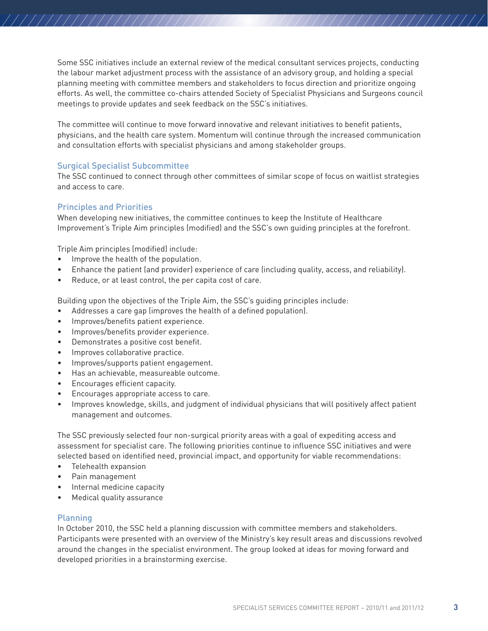Some SSC initiatives include an external review of the medical consultant services projects, conducting the labour market adjustment process with the assistance of an advisory group, and holding a special planning meeting with committee members and stakeholders to focus direction and prioritize ongoing efforts. As well, the committee co-chairs attended Society of Specialist Physicians and Surgeons council meetings to provide updates and seek feedback on the SSC's initiatives.

///////////////////

The committee will continue to move forward innovative and relevant initiatives to benefit patients, physicians, and the health care system. Momentum will continue through the increased communication and consultation efforts with specialist physicians and among stakeholder groups.

#### Surgical Specialist Subcommittee

The SSC continued to connect through other committees of similar scope of focus on waitlist strategies and access to care.

#### Principles and Priorities

//////////////////////

When developing new initiatives, the committee continues to keep the Institute of Healthcare Improvement's Triple Aim principles (modified) and the SSC's own guiding principles at the forefront.

Triple Aim principles (modified) include:

- • Improve the health of the population.
- Enhance the patient (and provider) experience of care (including quality, access, and reliability).
- Reduce, or at least control, the per capita cost of care.

Building upon the objectives of the Triple Aim, the SSC's guiding principles include:

- Addresses a care gap (improves the health of a defined population).
- • Improves/benefits patient experience.
- • Improves/benefits provider experience.
- • Demonstrates a positive cost benefit.
- • Improves collaborative practice.
- • Improves/supports patient engagement.
- • Has an achievable, measureable outcome.
- • Encourages efficient capacity.
- Encourages appropriate access to care.
- Improves knowledge, skills, and judgment of individual physicians that will positively affect patient management and outcomes.

The SSC previously selected four non-surgical priority areas with a goal of expediting access and assessment for specialist care. The following priorities continue to influence SSC initiatives and were selected based on identified need, provincial impact, and opportunity for viable recommendations:

- • Telehealth expansion
- Pain management
- Internal medicine capacity
- • Medical quality assurance

#### Planning

In October 2010, the SSC held a planning discussion with committee members and stakeholders. Participants were presented with an overview of the Ministry's key result areas and discussions revolved around the changes in the specialist environment. The group looked at ideas for moving forward and developed priorities in a brainstorming exercise.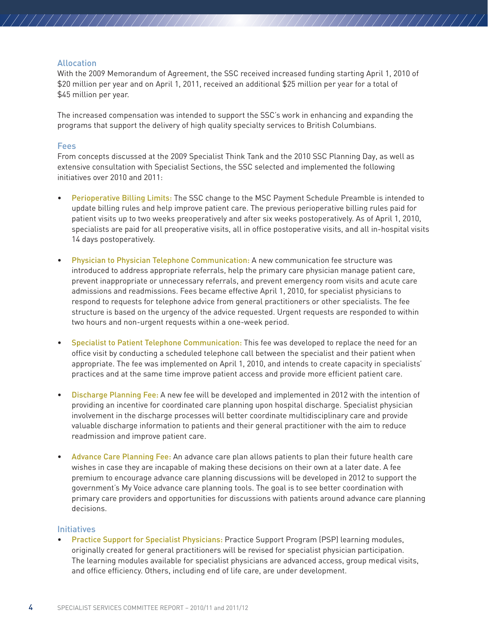#### Allocation

/////////////////////

With the 2009 Memorandum of Agreement, the SSC received increased funding starting April 1, 2010 of \$20 million per year and on April 1, 2011, received an additional \$25 million per year for a total of \$45 million per year.

////////////////////

The increased compensation was intended to support the SSC's work in enhancing and expanding the programs that support the delivery of high quality specialty services to British Columbians.

#### Fees

From concepts discussed at the 2009 Specialist Think Tank and the 2010 SSC Planning Day, as well as extensive consultation with Specialist Sections, the SSC selected and implemented the following initiatives over 2010 and 2011:

- **Perioperative Billing Limits:** The SSC change to the MSC Payment Schedule Preamble is intended to update billing rules and help improve patient care. The previous perioperative billing rules paid for patient visits up to two weeks preoperatively and after six weeks postoperatively. As of April 1, 2010, specialists are paid for all preoperative visits, all in office postoperative visits, and all in-hospital visits 14 days postoperatively.
- Physician to Physician Telephone Communication: A new communication fee structure was introduced to address appropriate referrals, help the primary care physician manage patient care, prevent inappropriate or unnecessary referrals, and prevent emergency room visits and acute care admissions and readmissions. Fees became effective April 1, 2010, for specialist physicians to respond to requests for telephone advice from general practitioners or other specialists. The fee structure is based on the urgency of the advice requested. Urgent requests are responded to within two hours and non-urgent requests within a one-week period.
- Specialist to Patient Telephone Communication: This fee was developed to replace the need for an office visit by conducting a scheduled telephone call between the specialist and their patient when appropriate. The fee was implemented on April 1, 2010, and intends to create capacity in specialists' practices and at the same time improve patient access and provide more efficient patient care.
- Discharge Planning Fee: A new fee will be developed and implemented in 2012 with the intention of providing an incentive for coordinated care planning upon hospital discharge. Specialist physician involvement in the discharge processes will better coordinate multidisciplinary care and provide valuable discharge information to patients and their general practitioner with the aim to reduce readmission and improve patient care.
- Advance Care Planning Fee: An advance care plan allows patients to plan their future health care wishes in case they are incapable of making these decisions on their own at a later date. A fee premium to encourage advance care planning discussions will be developed in 2012 to support the government's My Voice advance care planning tools. The goal is to see better coordination with primary care providers and opportunities for discussions with patients around advance care planning decisions.

#### **Initiatives**

Practice Support for Specialist Physicians: Practice Support Program (PSP) learning modules, originally created for general practitioners will be revised for specialist physician participation. The learning modules available for specialist physicians are advanced access, group medical visits, and office efficiency. Others, including end of life care, are under development.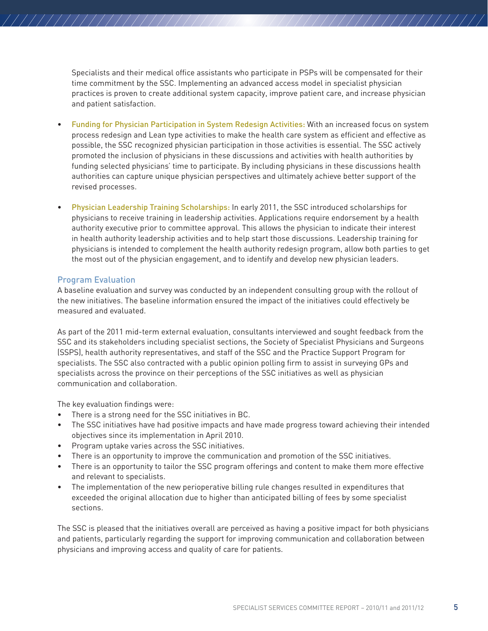Specialists and their medical office assistants who participate in PSPs will be compensated for their time commitment by the SSC. Implementing an advanced access model in specialist physician practices is proven to create additional system capacity, improve patient care, and increase physician and patient satisfaction.

///////////////////

- Funding for Physician Participation in System Redesign Activities: With an increased focus on system process redesign and Lean type activities to make the health care system as efficient and effective as possible, the SSC recognized physician participation in those activities is essential. The SSC actively promoted the inclusion of physicians in these discussions and activities with health authorities by funding selected physicians' time to participate. By including physicians in these discussions health authorities can capture unique physician perspectives and ultimately achieve better support of the revised processes.
- Physician Leadership Training Scholarships: In early 2011, the SSC introduced scholarships for physicians to receive training in leadership activities. Applications require endorsement by a health authority executive prior to committee approval. This allows the physician to indicate their interest in health authority leadership activities and to help start those discussions. Leadership training for physicians is intended to complement the health authority redesign program, allow both parties to get the most out of the physician engagement, and to identify and develop new physician leaders.

#### Program Evaluation

//////////////////////

A baseline evaluation and survey was conducted by an independent consulting group with the rollout of the new initiatives. The baseline information ensured the impact of the initiatives could effectively be measured and evaluated.

As part of the 2011 mid-term external evaluation, consultants interviewed and sought feedback from the SSC and its stakeholders including specialist sections, the Society of Specialist Physicians and Surgeons (SSPS), health authority representatives, and staff of the SSC and the Practice Support Program for specialists. The SSC also contracted with a public opinion polling firm to assist in surveying GPs and specialists across the province on their perceptions of the SSC initiatives as well as physician communication and collaboration.

The key evaluation findings were:

- There is a strong need for the SSC initiatives in BC.
- The SSC initiatives have had positive impacts and have made progress toward achieving their intended objectives since its implementation in April 2010.
- • Program uptake varies across the SSC initiatives.
- There is an opportunity to improve the communication and promotion of the SSC initiatives.
- There is an opportunity to tailor the SSC program offerings and content to make them more effective and relevant to specialists.
- The implementation of the new perioperative billing rule changes resulted in expenditures that exceeded the original allocation due to higher than anticipated billing of fees by some specialist sections.

The SSC is pleased that the initiatives overall are perceived as having a positive impact for both physicians and patients, particularly regarding the support for improving communication and collaboration between physicians and improving access and quality of care for patients.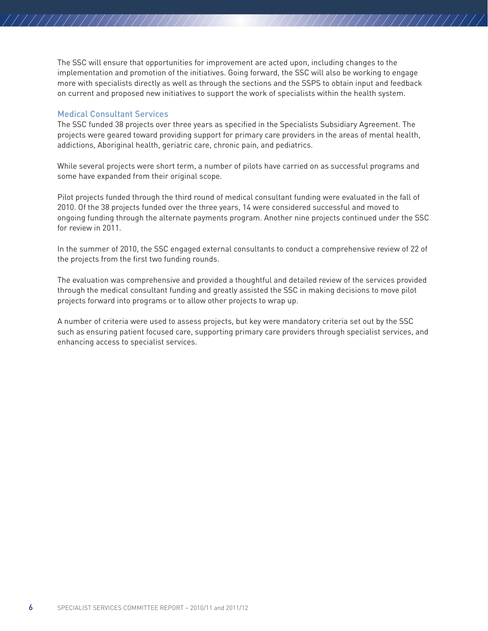The SSC will ensure that opportunities for improvement are acted upon, including changes to the implementation and promotion of the initiatives. Going forward, the SSC will also be working to engage more with specialists directly as well as through the sections and the SSPS to obtain input and feedback on current and proposed new initiatives to support the work of specialists within the health system.

////////////////////

#### Medical Consultant Services

/////////////////////

The SSC funded 38 projects over three years as specified in the Specialists Subsidiary Agreement. The projects were geared toward providing support for primary care providers in the areas of mental health, addictions, Aboriginal health, geriatric care, chronic pain, and pediatrics.

While several projects were short term, a number of pilots have carried on as successful programs and some have expanded from their original scope.

Pilot projects funded through the third round of medical consultant funding were evaluated in the fall of 2010. Of the 38 projects funded over the three years, 14 were considered successful and moved to ongoing funding through the alternate payments program. Another nine projects continued under the SSC for review in 2011.

In the summer of 2010, the SSC engaged external consultants to conduct a comprehensive review of 22 of the projects from the first two funding rounds.

The evaluation was comprehensive and provided a thoughtful and detailed review of the services provided through the medical consultant funding and greatly assisted the SSC in making decisions to move pilot projects forward into programs or to allow other projects to wrap up.

A number of criteria were used to assess projects, but key were mandatory criteria set out by the SSC such as ensuring patient focused care, supporting primary care providers through specialist services, and enhancing access to specialist services.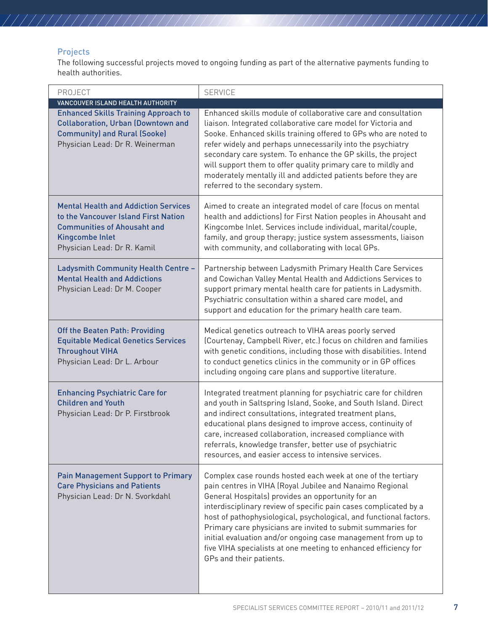### Projects

/////////////////////

The following successful projects moved to ongoing funding as part of the alternative payments funding to health authorities.

| PROJECT                                                                                                                                                                                                 | <b>SERVICE</b>                                                                                                                                                                                                                                                                                                                                                                                                                                                                                                                                      |
|---------------------------------------------------------------------------------------------------------------------------------------------------------------------------------------------------------|-----------------------------------------------------------------------------------------------------------------------------------------------------------------------------------------------------------------------------------------------------------------------------------------------------------------------------------------------------------------------------------------------------------------------------------------------------------------------------------------------------------------------------------------------------|
| VANCOUVER ISLAND HEALTH AUTHORITY<br><b>Enhanced Skills Training Approach to</b><br><b>Collaboration, Urban (Downtown and</b><br><b>Community) and Rural (Sooke)</b><br>Physician Lead: Dr R. Weinerman | Enhanced skills module of collaborative care and consultation<br>liaison. Integrated collaborative care model for Victoria and<br>Sooke. Enhanced skills training offered to GPs who are noted to<br>refer widely and perhaps unnecessarily into the psychiatry<br>secondary care system. To enhance the GP skills, the project<br>will support them to offer quality primary care to mildly and<br>moderately mentally ill and addicted patients before they are<br>referred to the secondary system.                                              |
| <b>Mental Health and Addiction Services</b><br>to the Vancouver Island First Nation<br><b>Communities of Ahousaht and</b><br><b>Kingcombe Inlet</b><br>Physician Lead: Dr R. Kamil                      | Aimed to create an integrated model of care (focus on mental<br>health and addictions) for First Nation peoples in Ahousaht and<br>Kingcombe Inlet. Services include individual, marital/couple,<br>family, and group therapy; justice system assessments, liaison<br>with community, and collaborating with local GPs.                                                                                                                                                                                                                             |
| Ladysmith Community Health Centre -<br><b>Mental Health and Addictions</b><br>Physician Lead: Dr M. Cooper                                                                                              | Partnership between Ladysmith Primary Health Care Services<br>and Cowichan Valley Mental Health and Addictions Services to<br>support primary mental health care for patients in Ladysmith.<br>Psychiatric consultation within a shared care model, and<br>support and education for the primary health care team.                                                                                                                                                                                                                                  |
| Off the Beaten Path: Providing<br><b>Equitable Medical Genetics Services</b><br><b>Throughout VIHA</b><br>Physician Lead: Dr L. Arbour                                                                  | Medical genetics outreach to VIHA areas poorly served<br>(Courtenay, Campbell River, etc.) focus on children and families<br>with genetic conditions, including those with disabilities. Intend<br>to conduct genetics clinics in the community or in GP offices<br>including ongoing care plans and supportive literature.                                                                                                                                                                                                                         |
| <b>Enhancing Psychiatric Care for</b><br><b>Children and Youth</b><br>Physician Lead: Dr P. Firstbrook                                                                                                  | Integrated treatment planning for psychiatric care for children<br>and youth in Saltspring Island, Sooke, and South Island. Direct<br>and indirect consultations, integrated treatment plans,<br>educational plans designed to improve access, continuity of<br>care, increased collaboration, increased compliance with<br>referrals, knowledge transfer, better use of psychiatric<br>resources, and easier access to intensive services.                                                                                                         |
| <b>Pain Management Support to Primary</b><br><b>Care Physicians and Patients</b><br>Physician Lead: Dr N. Svorkdahl                                                                                     | Complex case rounds hosted each week at one of the tertiary<br>pain centres in VIHA (Royal Jubilee and Nanaimo Regional<br>General Hospitals) provides an opportunity for an<br>interdisciplinary review of specific pain cases complicated by a<br>host of pathophysiological, psychological, and functional factors.<br>Primary care physicians are invited to submit summaries for<br>initial evaluation and/or ongoing case management from up to<br>five VIHA specialists at one meeting to enhanced efficiency for<br>GPs and their patients. |

////////////////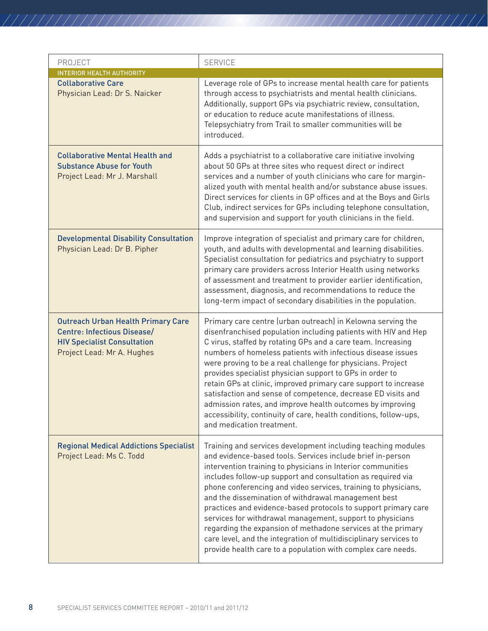| PROJECT                                                                                                                                             | <b>SERVICE</b>                                                                                                                                                                                                                                                                                                                                                                                                                                                                                                                                                                                                                                                                                                       |
|-----------------------------------------------------------------------------------------------------------------------------------------------------|----------------------------------------------------------------------------------------------------------------------------------------------------------------------------------------------------------------------------------------------------------------------------------------------------------------------------------------------------------------------------------------------------------------------------------------------------------------------------------------------------------------------------------------------------------------------------------------------------------------------------------------------------------------------------------------------------------------------|
| <b>INTERIOR HEALTH AUTHORITY</b><br><b>Collaborative Care</b><br>Physician Lead: Dr S. Naicker                                                      | Leverage role of GPs to increase mental health care for patients<br>through access to psychiatrists and mental health clinicians.<br>Additionally, support GPs via psychiatric review, consultation,                                                                                                                                                                                                                                                                                                                                                                                                                                                                                                                 |
|                                                                                                                                                     | or education to reduce acute manifestations of illness.<br>Telepsychiatry from Trail to smaller communities will be<br>introduced.                                                                                                                                                                                                                                                                                                                                                                                                                                                                                                                                                                                   |
| <b>Collaborative Mental Health and</b><br><b>Substance Abuse for Youth</b><br>Project Lead: Mr J. Marshall                                          | Adds a psychiatrist to a collaborative care initiative involving<br>about 50 GPs at three sites who request direct or indirect<br>services and a number of youth clinicians who care for margin-<br>alized youth with mental health and/or substance abuse issues.<br>Direct services for clients in GP offices and at the Boys and Girls<br>Club, indirect services for GPs including telephone consultation,<br>and supervision and support for youth clinicians in the field.                                                                                                                                                                                                                                     |
| <b>Developmental Disability Consultation</b><br>Physician Lead: Dr B. Pipher                                                                        | Improve integration of specialist and primary care for children,<br>youth, and adults with developmental and learning disabilities.<br>Specialist consultation for pediatrics and psychiatry to support<br>primary care providers across Interior Health using networks<br>of assessment and treatment to provider earlier identification,<br>assessment, diagnosis, and recommendations to reduce the<br>long-term impact of secondary disabilities in the population.                                                                                                                                                                                                                                              |
| <b>Outreach Urban Health Primary Care</b><br><b>Centre: Infectious Disease/</b><br><b>HIV Specialist Consultation</b><br>Project Lead: Mr A. Hughes | Primary care centre (urban outreach) in Kelowna serving the<br>disenfranchised population including patients with HIV and Hep<br>C virus, staffed by rotating GPs and a care team. Increasing<br>numbers of homeless patients with infectious disease issues<br>were proving to be a real challenge for physicians. Project<br>provides specialist physician support to GPs in order to<br>retain GPs at clinic, improved primary care support to increase<br>satisfaction and sense of competence, decrease ED visits and<br>admission rates, and improve health outcomes by improving<br>accessibility, continuity of care, health conditions, follow-ups,<br>and medication treatment.                            |
| <b>Regional Medical Addictions Specialist</b><br>Project Lead: Ms C. Todd                                                                           | Training and services development including teaching modules<br>and evidence-based tools. Services include brief in-person<br>intervention training to physicians in Interior communities<br>includes follow-up support and consultation as required via<br>phone conferencing and video services, training to physicians,<br>and the dissemination of withdrawal management best<br>practices and evidence-based protocols to support primary care<br>services for withdrawal management, support to physicians<br>regarding the expansion of methadone services at the primary<br>care level, and the integration of multidisciplinary services to<br>provide health care to a population with complex care needs. |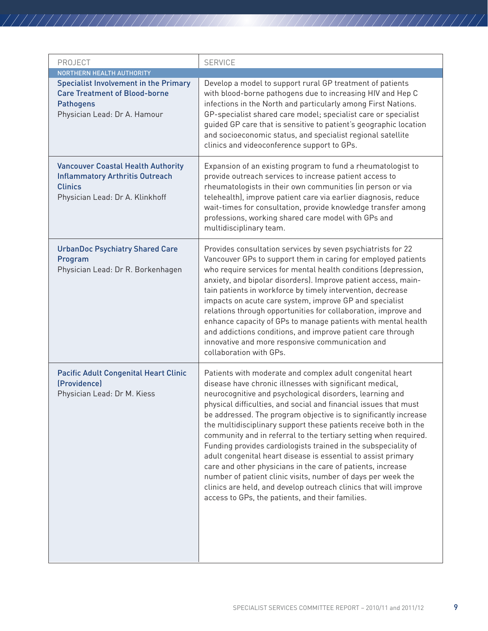| PROJECT                                                                                                                                                               | <b>SERVICE</b>                                                                                                                                                                                                                                                                                                                                                                                                                                                                                                                                                                                                                                                                                                                                                                                                                                              |
|-----------------------------------------------------------------------------------------------------------------------------------------------------------------------|-------------------------------------------------------------------------------------------------------------------------------------------------------------------------------------------------------------------------------------------------------------------------------------------------------------------------------------------------------------------------------------------------------------------------------------------------------------------------------------------------------------------------------------------------------------------------------------------------------------------------------------------------------------------------------------------------------------------------------------------------------------------------------------------------------------------------------------------------------------|
| NORTHERN HEALTH AUTHORITY<br><b>Specialist Involvement in the Primary</b><br><b>Care Treatment of Blood-borne</b><br><b>Pathogens</b><br>Physician Lead: Dr A. Hamour | Develop a model to support rural GP treatment of patients<br>with blood-borne pathogens due to increasing HIV and Hep C<br>infections in the North and particularly among First Nations.<br>GP-specialist shared care model; specialist care or specialist<br>guided GP care that is sensitive to patient's geographic location<br>and socioeconomic status, and specialist regional satellite<br>clinics and videoconference support to GPs.                                                                                                                                                                                                                                                                                                                                                                                                               |
| <b>Vancouver Coastal Health Authority</b><br><b>Inflammatory Arthritis Outreach</b><br><b>Clinics</b><br>Physician Lead: Dr A. Klinkhoff                              | Expansion of an existing program to fund a rheumatologist to<br>provide outreach services to increase patient access to<br>rheumatologists in their own communities (in person or via<br>telehealth), improve patient care via earlier diagnosis, reduce<br>wait-times for consultation, provide knowledge transfer among<br>professions, working shared care model with GPs and<br>multidisciplinary team.                                                                                                                                                                                                                                                                                                                                                                                                                                                 |
| <b>UrbanDoc Psychiatry Shared Care</b><br>Program<br>Physician Lead: Dr R. Borkenhagen                                                                                | Provides consultation services by seven psychiatrists for 22<br>Vancouver GPs to support them in caring for employed patients<br>who require services for mental health conditions (depression,<br>anxiety, and bipolar disorders). Improve patient access, main-<br>tain patients in workforce by timely intervention, decrease<br>impacts on acute care system, improve GP and specialist<br>relations through opportunities for collaboration, improve and<br>enhance capacity of GPs to manage patients with mental health<br>and addictions conditions, and improve patient care through<br>innovative and more responsive communication and<br>collaboration with GPs.                                                                                                                                                                                |
| <b>Pacific Adult Congenital Heart Clinic</b><br>(Providence)<br>Physician Lead: Dr M. Kiess                                                                           | Patients with moderate and complex adult congenital heart<br>disease have chronic illnesses with significant medical,<br>neurocognitive and psychological disorders, learning and<br>physical difficulties, and social and financial issues that must<br>be addressed. The program objective is to significantly increase<br>the multidisciplinary support these patients receive both in the<br>community and in referral to the tertiary setting when required.<br>Funding provides cardiologists trained in the subspeciality of<br>adult congenital heart disease is essential to assist primary<br>care and other physicians in the care of patients, increase<br>number of patient clinic visits, number of days per week the<br>clinics are held, and develop outreach clinics that will improve<br>access to GPs, the patients, and their families. |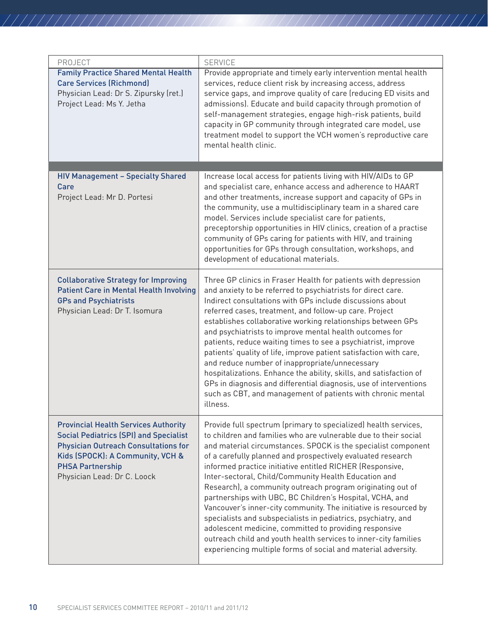| PROJECT                                                                                                                                                                                                                                   | <b>SERVICE</b>                                                                                                                                                                                                                                                                                                                                                                                                                                                                                                                                                                                                                                                                                                                                                                                                                                       |
|-------------------------------------------------------------------------------------------------------------------------------------------------------------------------------------------------------------------------------------------|------------------------------------------------------------------------------------------------------------------------------------------------------------------------------------------------------------------------------------------------------------------------------------------------------------------------------------------------------------------------------------------------------------------------------------------------------------------------------------------------------------------------------------------------------------------------------------------------------------------------------------------------------------------------------------------------------------------------------------------------------------------------------------------------------------------------------------------------------|
| <b>Family Practice Shared Mental Health</b><br><b>Care Services (Richmond)</b><br>Physician Lead: Dr S. Zipursky (ret.)<br>Project Lead: Ms Y. Jetha                                                                                      | Provide appropriate and timely early intervention mental health<br>services, reduce client risk by increasing access, address<br>service gaps, and improve quality of care (reducing ED visits and<br>admissions). Educate and build capacity through promotion of<br>self-management strategies, engage high-risk patients, build<br>capacity in GP community through integrated care model, use<br>treatment model to support the VCH women's reproductive care<br>mental health clinic.                                                                                                                                                                                                                                                                                                                                                           |
|                                                                                                                                                                                                                                           |                                                                                                                                                                                                                                                                                                                                                                                                                                                                                                                                                                                                                                                                                                                                                                                                                                                      |
| <b>HIV Management - Specialty Shared</b><br>Care<br>Project Lead: Mr D. Portesi                                                                                                                                                           | Increase local access for patients living with HIV/AIDs to GP<br>and specialist care, enhance access and adherence to HAART<br>and other treatments, increase support and capacity of GPs in<br>the community, use a multidisciplinary team in a shared care<br>model. Services include specialist care for patients,<br>preceptorship opportunities in HIV clinics, creation of a practise<br>community of GPs caring for patients with HIV, and training<br>opportunities for GPs through consultation, workshops, and<br>development of educational materials.                                                                                                                                                                                                                                                                                    |
| <b>Collaborative Strategy for Improving</b><br><b>Patient Care in Mental Health Involving</b><br><b>GPs and Psychiatrists</b><br>Physician Lead: Dr T. Isomura                                                                            | Three GP clinics in Fraser Health for patients with depression<br>and anxiety to be referred to psychiatrists for direct care.<br>Indirect consultations with GPs include discussions about<br>referred cases, treatment, and follow-up care. Project<br>establishes collaborative working relationships between GPs<br>and psychiatrists to improve mental health outcomes for<br>patients, reduce waiting times to see a psychiatrist, improve<br>patients' quality of life, improve patient satisfaction with care,<br>and reduce number of inappropriate/unnecessary<br>hospitalizations. Enhance the ability, skills, and satisfaction of<br>GPs in diagnosis and differential diagnosis, use of interventions<br>such as CBT, and management of patients with chronic mental<br>illness.                                                       |
| <b>Provincial Health Services Authority</b><br><b>Social Pediatrics (SPI) and Specialist</b><br><b>Physician Outreach Consultations for</b><br>Kids (SPOCK): A Community, VCH &<br><b>PHSA Partnership</b><br>Physician Lead: Dr C. Loock | Provide full spectrum (primary to specialized) health services,<br>to children and families who are vulnerable due to their social<br>and material circumstances. SPOCK is the specialist component<br>of a carefully planned and prospectively evaluated research<br>informed practice initiative entitled RICHER (Responsive,<br>Inter-sectoral, Child/Community Health Education and<br>Research), a community outreach program originating out of<br>partnerships with UBC, BC Children's Hospital, VCHA, and<br>Vancouver's inner-city community. The initiative is resourced by<br>specialists and subspecialists in pediatrics, psychiatry, and<br>adolescent medicine, committed to providing responsive<br>outreach child and youth health services to inner-city families<br>experiencing multiple forms of social and material adversity. |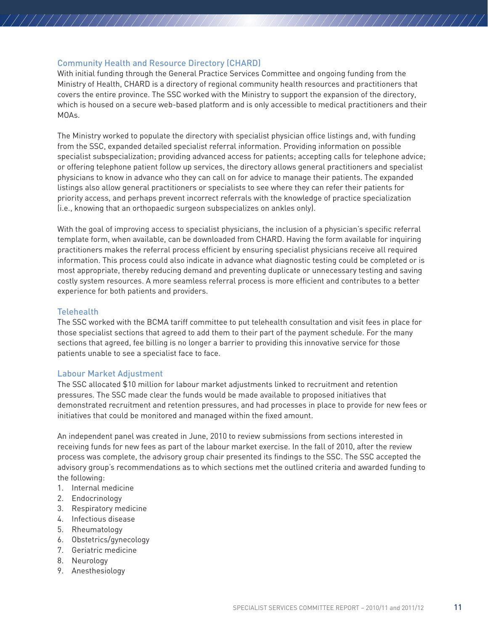#### Community Health and Resource Directory (CHARD)

//////////////////////

With initial funding through the General Practice Services Committee and ongoing funding from the Ministry of Health, CHARD is a directory of regional community health resources and practitioners that covers the entire province. The SSC worked with the Ministry to support the expansion of the directory, which is housed on a secure web-based platform and is only accessible to medical practitioners and their MOAs.

The Ministry worked to populate the directory with specialist physician office listings and, with funding from the SSC, expanded detailed specialist referral information. Providing information on possible specialist subspecialization; providing advanced access for patients; accepting calls for telephone advice; or offering telephone patient follow up services, the directory allows general practitioners and specialist physicians to know in advance who they can call on for advice to manage their patients. The expanded listings also allow general practitioners or specialists to see where they can refer their patients for priority access, and perhaps prevent incorrect referrals with the knowledge of practice specialization (i.e., knowing that an orthopaedic surgeon subspecializes on ankles only).

With the goal of improving access to specialist physicians, the inclusion of a physician's specific referral template form, when available, can be downloaded from CHARD. Having the form available for inquiring practitioners makes the referral process efficient by ensuring specialist physicians receive all required information. This process could also indicate in advance what diagnostic testing could be completed or is most appropriate, thereby reducing demand and preventing duplicate or unnecessary testing and saving costly system resources. A more seamless referral process is more efficient and contributes to a better experience for both patients and providers.

#### **Telehealth**

The SSC worked with the BCMA tariff committee to put telehealth consultation and visit fees in place for those specialist sections that agreed to add them to their part of the payment schedule. For the many sections that agreed, fee billing is no longer a barrier to providing this innovative service for those patients unable to see a specialist face to face.

#### Labour Market Adjustment

The SSC allocated \$10 million for labour market adjustments linked to recruitment and retention pressures. The SSC made clear the funds would be made available to proposed initiatives that demonstrated recruitment and retention pressures, and had processes in place to provide for new fees or initiatives that could be monitored and managed within the fixed amount.

An independent panel was created in June, 2010 to review submissions from sections interested in receiving funds for new fees as part of the labour market exercise. In the fall of 2010, after the review process was complete, the advisory group chair presented its findings to the SSC. The SSC accepted the advisory group's recommendations as to which sections met the outlined criteria and awarded funding to the following:

- 1. Internal medicine
- 2. Endocrinology
- 3. Respiratory medicine
- 4. Infectious disease
- 5. Rheumatology
- 6. Obstetrics/gynecology
- 7. Geriatric medicine
- 8. Neurology
- 9. Anesthesiology

///////////////////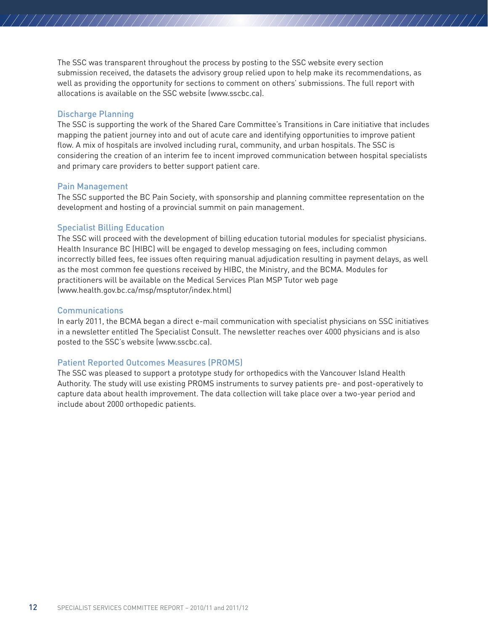The SSC was transparent throughout the process by posting to the SSC website every section submission received, the datasets the advisory group relied upon to help make its recommendations, as well as providing the opportunity for sections to comment on others' submissions. The full report with allocations is available on the SSC website (www.sscbc.ca).

////////////////////

#### Discharge Planning

//////////////////////

The SSC is supporting the work of the Shared Care Committee's Transitions in Care initiative that includes mapping the patient journey into and out of acute care and identifying opportunities to improve patient flow. A mix of hospitals are involved including rural, community, and urban hospitals. The SSC is considering the creation of an interim fee to incent improved communication between hospital specialists and primary care providers to better support patient care.

#### Pain Management

The SSC supported the BC Pain Society, with sponsorship and planning committee representation on the development and hosting of a provincial summit on pain management.

#### Specialist Billing Education

The SSC will proceed with the development of billing education tutorial modules for specialist physicians. Health Insurance BC (HIBC) will be engaged to develop messaging on fees, including common incorrectly billed fees, fee issues often requiring manual adjudication resulting in payment delays, as well as the most common fee questions received by HIBC, the Ministry, and the BCMA. Modules for practitioners will be available on the Medical Services Plan MSP Tutor web page (www.health.gov.bc.ca/msp/msptutor/index.html)

#### **Communications**

In early 2011, the BCMA began a direct e-mail communication with specialist physicians on SSC initiatives in a newsletter entitled The Specialist Consult. The newsletter reaches over 4000 physicians and is also posted to the SSC's website (www.sscbc.ca).

#### Patient Reported Outcomes Measures (PROMS)

The SSC was pleased to support a prototype study for orthopedics with the Vancouver Island Health Authority. The study will use existing PROMS instruments to survey patients pre- and post-operatively to capture data about health improvement. The data collection will take place over a two-year period and include about 2000 orthopedic patients.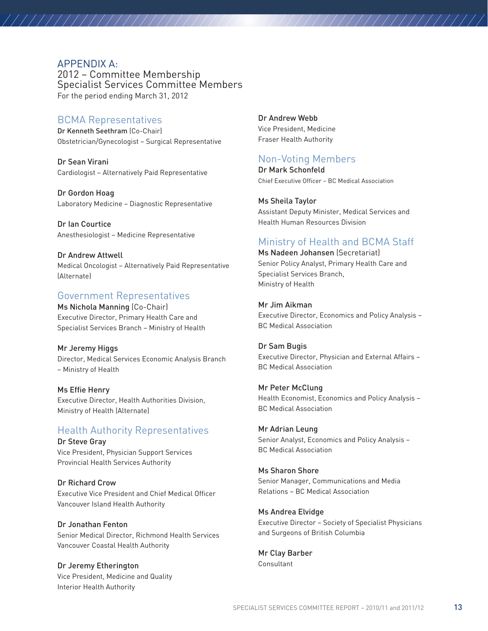#### APPENDIX A:

//////////////////////

2012 – Committee Membership Specialist Services Committee Members For the period ending March 31, 2012

#### BCMA Representatives

Dr Kenneth Seethram (Co-Chair) Obstetrician/Gynecologist – Surgical Representative

Dr Sean Virani Cardiologist – Alternatively Paid Representative

Dr Gordon Hoag Laboratory Medicine – Diagnostic Representative

Dr Ian Courtice Anesthesiologist – Medicine Representative

Dr Andrew Attwell Medical Oncologist – Alternatively Paid Representative (Alternate)

#### Government Representatives

Ms Nichola Manning (Co-Chair) Executive Director, Primary Health Care and Specialist Services Branch – Ministry of Health

Mr Jeremy Higgs Director, Medical Services Economic Analysis Branch – Ministry of Health

Ms Effie Henry Executive Director, Health Authorities Division, Ministry of Health (Alternate)

# Health Authority Representatives

Dr Steve Gray Vice President, Physician Support Services Provincial Health Services Authority

Dr Richard Crow Executive Vice President and Chief Medical Officer Vancouver Island Health Authority

Dr Jonathan Fenton Senior Medical Director, Richmond Health Services Vancouver Coastal Health Authority

Dr Jeremy Etherington Vice President, Medicine and Quality Interior Health Authority

Dr Andrew Webb Vice President, Medicine Fraser Health Authority

# Non-Voting Members

Dr Mark Schonfeld Chief Executive Officer – BC Medical Association

Ms Sheila Taylor Assistant Deputy Minister, Medical Services and Health Human Resources Division

////////////////////

# Ministry of Health and BCMA Staff

Ms Nadeen Johansen (Secretariat) Senior Policy Analyst, Primary Health Care and Specialist Services Branch, Ministry of Health

Mr Jim Aikman Executive Director, Economics and Policy Analysis – BC Medical Association

Dr Sam Bugis Executive Director, Physician and External Affairs – BC Medical Association

#### Mr Peter McClung

Health Economist, Economics and Policy Analysis – BC Medical Association

#### Mr Adrian Leung

Senior Analyst, Economics and Policy Analysis – BC Medical Association

#### Ms Sharon Shore

Senior Manager, Communications and Media Relations – BC Medical Association

#### Ms Andrea Elvidge

Executive Director – Society of Specialist Physicians and Surgeons of British Columbia

Mr Clay Barber Consultant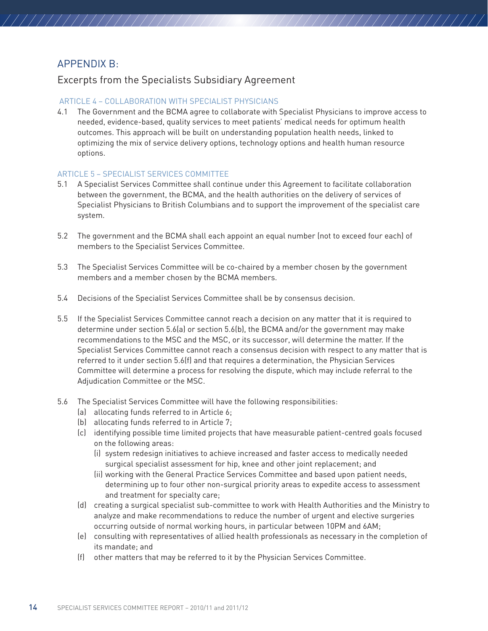# APPENDIX B:

//////////////////////

## Excerpts from the Specialists Subsidiary Agreement

#### ARTICLE 4 – COLLABORATION WITH SPECIALIST PHYSICIANS

4.1 The Government and the BCMA agree to collaborate with Specialist Physicians to improve access to needed, evidence-based, quality services to meet patients' medical needs for optimum health outcomes. This approach will be built on understanding population health needs, linked to optimizing the mix of service delivery options, technology options and health human resource options.

////////////////////

#### ARTICLE 5 – SPECIALIST SERVICES COMMITTEE

- 5.1 A Specialist Services Committee shall continue under this Agreement to facilitate collaboration between the government, the BCMA, and the health authorities on the delivery of services of Specialist Physicians to British Columbians and to support the improvement of the specialist care system.
- 5.2 The government and the BCMA shall each appoint an equal number (not to exceed four each) of members to the Specialist Services Committee.
- 5.3 The Specialist Services Committee will be co-chaired by a member chosen by the government members and a member chosen by the BCMA members.
- 5.4 Decisions of the Specialist Services Committee shall be by consensus decision.
- 5.5 If the Specialist Services Committee cannot reach a decision on any matter that it is required to determine under section 5.6(a) or section 5.6(b), the BCMA and/or the government may make recommendations to the MSC and the MSC, or its successor, will determine the matter. If the Specialist Services Committee cannot reach a consensus decision with respect to any matter that is referred to it under section 5.6(f) and that requires a determination, the Physician Services Committee will determine a process for resolving the dispute, which may include referral to the Adjudication Committee or the MSC.
- 5.6 The Specialist Services Committee will have the following responsibilities:
	- (a) allocating funds referred to in Article 6;
	- (b) allocating funds referred to in Article 7;
	- (c) identifying possible time limited projects that have measurable patient-centred goals focused on the following areas:
		- (i) system redesign initiatives to achieve increased and faster access to medically needed surgical specialist assessment for hip, knee and other joint replacement; and
		- (ii) working with the General Practice Services Committee and based upon patient needs, determining up to four other non-surgical priority areas to expedite access to assessment and treatment for specialty care;
	- (d) creating a surgical specialist sub-committee to work with Health Authorities and the Ministry to analyze and make recommendations to reduce the number of urgent and elective surgeries occurring outside of normal working hours, in particular between 10PM and 6AM;
	- (e) consulting with representatives of allied health professionals as necessary in the completion of its mandate; and
	- (f) other matters that may be referred to it by the Physician Services Committee.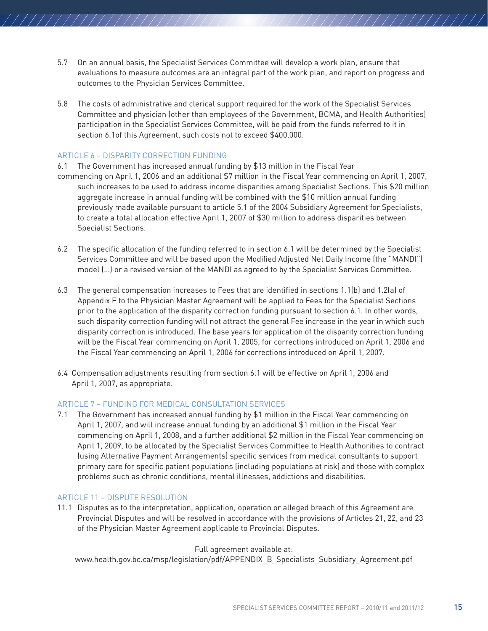5.7 On an annual basis, the Specialist Services Committee will develop a work plan, ensure that evaluations to measure outcomes are an integral part of the work plan, and report on progress and outcomes to the Physician Services Committee.

////////////////////

5.8 The costs of administrative and clerical support required for the work of the Specialist Services Committee and physician (other than employees of the Government, BCMA, and Health Authorities) participation in the Specialist Services Committee, will be paid from the funds referred to it in section 6.1of this Agreement, such costs not to exceed \$400,000.

#### ARTICLE 6 – DISPARITY CORRECTION FUNDING

//////////////////////

- 6.1 The Government has increased annual funding by \$13 million in the Fiscal Year
- commencing on April 1, 2006 and an additional \$7 million in the Fiscal Year commencing on April 1, 2007, such increases to be used to address income disparities among Specialist Sections. This \$20 million aggregate increase in annual funding will be combined with the \$10 million annual funding previously made available pursuant to article 5.1 of the 2004 Subsidiary Agreement for Specialists, to create a total allocation effective April 1, 2007 of \$30 million to address disparities between Specialist Sections.
- 6.2 The specific allocation of the funding referred to in section 6.1 will be determined by the Specialist Services Committee and will be based upon the Modified Adjusted Net Daily Income (the "MANDI") model (…) or a revised version of the MANDI as agreed to by the Specialist Services Committee.
- 6.3 The general compensation increases to Fees that are identified in sections 1.1(b) and 1.2(a) of Appendix F to the Physician Master Agreement will be applied to Fees for the Specialist Sections prior to the application of the disparity correction funding pursuant to section 6.1. In other words, such disparity correction funding will not attract the general Fee increase in the year in which such disparity correction is introduced. The base years for application of the disparity correction funding will be the Fiscal Year commencing on April 1, 2005, for corrections introduced on April 1, 2006 and the Fiscal Year commencing on April 1, 2006 for corrections introduced on April 1, 2007.
- 6.4 Compensation adjustments resulting from section 6.1 will be effective on April 1, 2006 and April 1, 2007, as appropriate.

#### ARTICLE 7 – FUNDING FOR MEDICAL CONSULTATION SERVICES

7.1 The Government has increased annual funding by \$1 million in the Fiscal Year commencing on April 1, 2007, and will increase annual funding by an additional \$1 million in the Fiscal Year commencing on April 1, 2008, and a further additional \$2 million in the Fiscal Year commencing on April 1, 2009, to be allocated by the Specialist Services Committee to Health Authorities to contract (using Alternative Payment Arrangements) specific services from medical consultants to support primary care for specific patient populations (including populations at risk) and those with complex problems such as chronic conditions, mental illnesses, addictions and disabilities.

#### ARTICLE 11 – DISPUTE RESOLUTION

11.1 Disputes as to the interpretation, application, operation or alleged breach of this Agreement are Provincial Disputes and will be resolved in accordance with the provisions of Articles 21, 22, and 23 of the Physician Master Agreement applicable to Provincial Disputes.

#### Full agreement available at:

www.health.gov.bc.ca/msp/legislation/pdf/APPENDIX\_B\_Specialists\_Subsidiary\_Agreement.pdf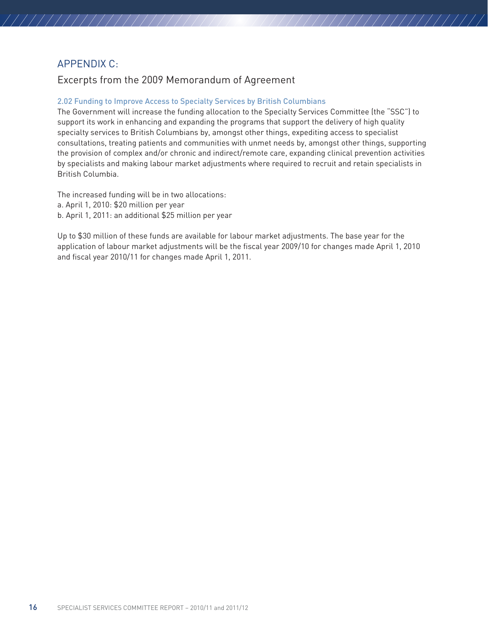# APPENDIX C:

////////////////////

# Excerpts from the 2009 Memorandum of Agreement

#### 2.02 Funding to Improve Access to Specialty Services by British Columbians

The Government will increase the funding allocation to the Specialty Services Committee (the "SSC") to support its work in enhancing and expanding the programs that support the delivery of high quality specialty services to British Columbians by, amongst other things, expediting access to specialist consultations, treating patients and communities with unmet needs by, amongst other things, supporting the provision of complex and/or chronic and indirect/remote care, expanding clinical prevention activities by specialists and making labour market adjustments where required to recruit and retain specialists in British Columbia.

///////////////////

The increased funding will be in two allocations: a. April 1, 2010: \$20 million per year b. April 1, 2011: an additional \$25 million per year

Up to \$30 million of these funds are available for labour market adjustments. The base year for the application of labour market adjustments will be the fiscal year 2009/10 for changes made April 1, 2010 and fiscal year 2010/11 for changes made April 1, 2011.